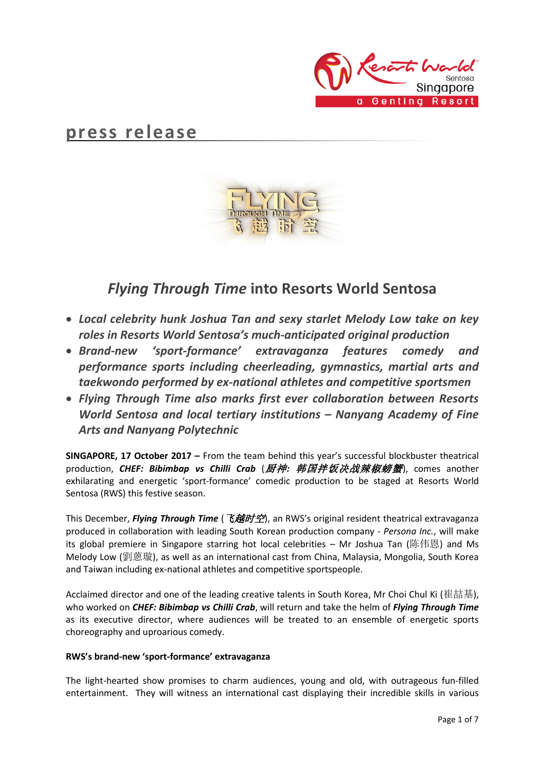

# **press release**



## *Flying Through Time* **into Resorts World Sentosa**

- *Local celebrity hunk Joshua Tan and sexy starlet Melody Low take on key roles in Resorts World Sentosa's much-anticipated original production*
- *Brand-new 'sport-formance' extravaganza features comedy and performance sports including cheerleading, gymnastics, martial arts and taekwondo performed by ex-national athletes and competitive sportsmen*
- *Flying Through Time also marks first ever collaboration between Resorts World Sentosa and local tertiary institutions – Nanyang Academy of Fine Arts and Nanyang Polytechnic*

**SINGAPORE, 17 October 2017 –** From the team behind this year's successful blockbuster theatrical production, *CHEF: Bibimbap vs Chilli Crab* (厨神*:* 韩国拌饭决战辣椒螃蟹), comes another exhilarating and energetic 'sport-formance' comedic production to be staged at Resorts World Sentosa (RWS) this festive season.

This December, *Flying Through Time* (飞越时空), an RWS's original resident theatrical extravaganza produced in collaboration with leading South Korean production company - *Persona Inc.*, will make its global premiere in Singapore starring hot local celebrities – Mr Joshua Tan (陈伟恩) and Ms Melody Low (劉蒽璇), as well as an international cast from China, Malaysia, Mongolia, South Korea and Taiwan including ex-national athletes and competitive sportspeople.

Acclaimed director and one of the leading creative talents in South Korea, Mr Choi Chul Ki (崔喆基), who worked on *CHEF: Bibimbap vs Chilli Crab*, will return and take the helm of *Flying Through Time* as its executive director, where audiences will be treated to an ensemble of energetic sports choreography and uproarious comedy.

## **RWS's brand-new 'sport-formance' extravaganza**

The light-hearted show promises to charm audiences, young and old, with outrageous fun-filled entertainment. They will witness an international cast displaying their incredible skills in various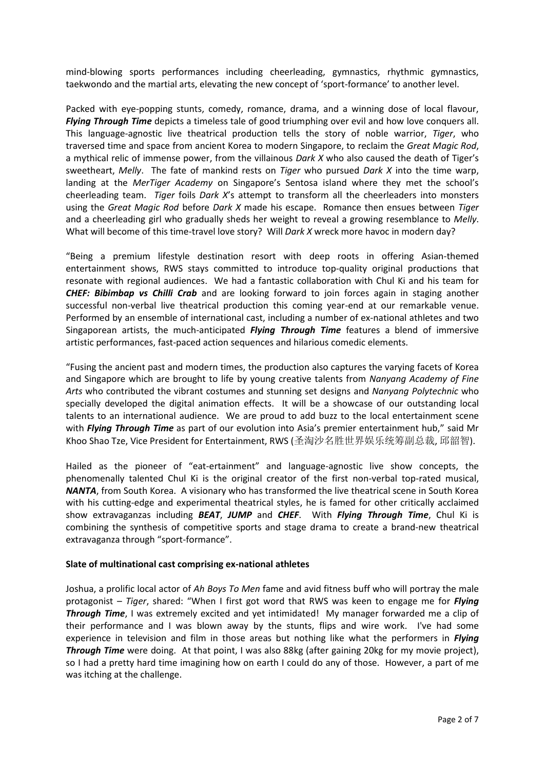mind-blowing sports performances including cheerleading, gymnastics, rhythmic gymnastics, taekwondo and the martial arts, elevating the new concept of 'sport-formance' to another level.

Packed with eye-popping stunts, comedy, romance, drama, and a winning dose of local flavour, *Flying Through Time* depicts a timeless tale of good triumphing over evil and how love conquers all. This language-agnostic live theatrical production tells the story of noble warrior, *Tiger*, who traversed time and space from ancient Korea to modern Singapore, to reclaim the *Great Magic Rod*, a mythical relic of immense power, from the villainous *Dark X* who also caused the death of Tiger's sweetheart, *Melly*. The fate of mankind rests on *Tiger* who pursued *Dark X* into the time warp, landing at the *MerTiger Academy* on Singapore's Sentosa island where they met the school's cheerleading team. *Tiger* foils *Dark X*'s attempt to transform all the cheerleaders into monsters using the *Great Magic Rod* before *Dark X* made his escape. Romance then ensues between *Tiger* and a cheerleading girl who gradually sheds her weight to reveal a growing resemblance to *Melly*. What will become of this time-travel love story? Will *Dark X* wreck more havoc in modern day?

"Being a premium lifestyle destination resort with deep roots in offering Asian-themed entertainment shows, RWS stays committed to introduce top-quality original productions that resonate with regional audiences. We had a fantastic collaboration with Chul Ki and his team for *CHEF: Bibimbap vs Chilli Crab* and are looking forward to join forces again in staging another successful non-verbal live theatrical production this coming year-end at our remarkable venue. Performed by an ensemble of international cast, including a number of ex-national athletes and two Singaporean artists, the much-anticipated *Flying Through Time* features a blend of immersive artistic performances, fast-paced action sequences and hilarious comedic elements.

"Fusing the ancient past and modern times, the production also captures the varying facets of Korea and Singapore which are brought to life by young creative talents from *Nanyang Academy of Fine Arts* who contributed the vibrant costumes and stunning set designs and *Nanyang Polytechnic* who specially developed the digital animation effects. It will be a showcase of our outstanding local talents to an international audience. We are proud to add buzz to the local entertainment scene with *Flying Through Time* as part of our evolution into Asia's premier entertainment hub," said Mr Khoo Shao Tze, Vice President for Entertainment, RWS (圣淘沙名胜世界娱乐统筹副总裁, 邱韶智).

Hailed as the pioneer of "eat-ertainment" and language-agnostic live show concepts, the phenomenally talented Chul Ki is the original creator of the first non-verbal top-rated musical, *NANTA*, from South Korea. A visionary who has transformed the live theatrical scene in South Korea with his cutting-edge and experimental theatrical styles, he is famed for other critically acclaimed show extravaganzas including *BEAT*, *JUMP* and *CHEF*. With *Flying Through Time*, Chul Ki is combining the synthesis of competitive sports and stage drama to create a brand-new theatrical extravaganza through "sport-formance".

### **Slate of multinational cast comprising ex-national athletes**

Joshua, a prolific local actor of *Ah Boys To Men* fame and avid fitness buff who will portray the male protagonist – *Tiger*, shared: "When I first got word that RWS was keen to engage me for *Flying*  **Through Time**, I was extremely excited and yet intimidated! My manager forwarded me a clip of their performance and I was blown away by the stunts, flips and wire work. I've had some experience in television and film in those areas but nothing like what the performers in *Flying Through Time* were doing. At that point, I was also 88kg (after gaining 20kg for my movie project), so I had a pretty hard time imagining how on earth I could do any of those. However, a part of me was itching at the challenge.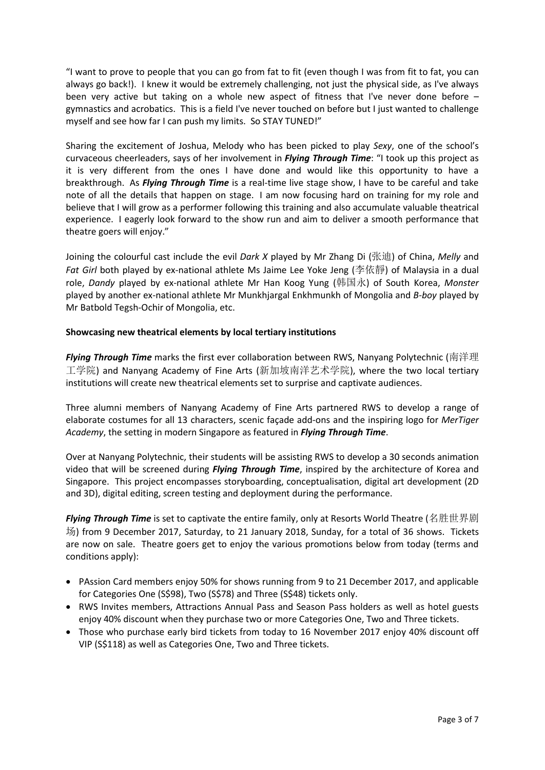"I want to prove to people that you can go from fat to fit (even though I was from fit to fat, you can always go back!). I knew it would be extremely challenging, not just the physical side, as I've always been very active but taking on a whole new aspect of fitness that I've never done before – gymnastics and acrobatics. This is a field I've never touched on before but I just wanted to challenge myself and see how far I can push my limits. So STAY TUNED!"

Sharing the excitement of Joshua, Melody who has been picked to play *Sexy*, one of the school's curvaceous cheerleaders, says of her involvement in *Flying Through Time*: "I took up this project as it is very different from the ones I have done and would like this opportunity to have a breakthrough. As *Flying Through Time* is a real-time live stage show, I have to be careful and take note of all the details that happen on stage. I am now focusing hard on training for my role and believe that I will grow as a performer following this training and also accumulate valuable theatrical experience. I eagerly look forward to the show run and aim to deliver a smooth performance that theatre goers will enjoy."

Joining the colourful cast include the evil *Dark X* played by Mr Zhang Di (张迪) of China, *Melly* and *Fat Girl* both played by ex-national athlete Ms Jaime Lee Yoke Jeng (李依靜) of Malaysia in a dual role, *Dandy* played by ex-national athlete Mr Han Koog Yung (韩国永) of South Korea, *Monster* played by another ex-national athlete Mr Munkhjargal Enkhmunkh of Mongolia and *B-boy* played by Mr Batbold Tegsh-Ochir of Mongolia, etc.

## **Showcasing new theatrical elements by local tertiary institutions**

*Flying Through Time* marks the first ever collaboration between RWS, Nanyang Polytechnic (南洋理 工学院) and Nanyang Academy of Fine Arts (新加坡南洋艺术学院), where the two local tertiary institutions will create new theatrical elements set to surprise and captivate audiences.

Three alumni members of Nanyang Academy of Fine Arts partnered RWS to develop a range of elaborate costumes for all 13 characters, scenic façade add-ons and the inspiring logo for *MerTiger Academy*, the setting in modern Singapore as featured in *Flying Through Time*.

Over at Nanyang Polytechnic, their students will be assisting RWS to develop a 30 seconds animation video that will be screened during *Flying Through Time*, inspired by the architecture of Korea and Singapore. This project encompasses storyboarding, conceptualisation, digital art development (2D and 3D), digital editing, screen testing and deployment during the performance.

*Flying Through Time* is set to captivate the entire family, only at Resorts World Theatre (名胜世界剧 场) from 9 December 2017, Saturday, to 21 January 2018, Sunday, for a total of 36 shows. Tickets are now on sale. Theatre goers get to enjoy the various promotions below from today (terms and conditions apply):

- PAssion Card members enjoy 50% for shows running from 9 to 21 December 2017, and applicable for Categories One (S\$98), Two (S\$78) and Three (S\$48) tickets only.
- RWS Invites members, Attractions Annual Pass and Season Pass holders as well as hotel guests enjoy 40% discount when they purchase two or more Categories One, Two and Three tickets.
- Those who purchase early bird tickets from today to 16 November 2017 enjoy 40% discount off VIP (S\$118) as well as Categories One, Two and Three tickets.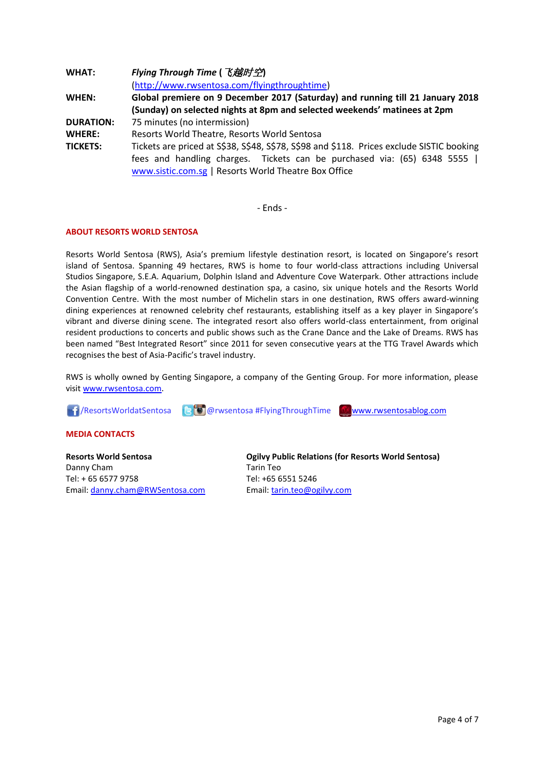| <b>WHAT:</b>     | Flying Through Time ( 飞越时空)                                                                                                                                                                                                    |
|------------------|--------------------------------------------------------------------------------------------------------------------------------------------------------------------------------------------------------------------------------|
|                  | (http://www.rwsentosa.com/flyingthroughtime)                                                                                                                                                                                   |
| <b>WHEN:</b>     | Global premiere on 9 December 2017 (Saturday) and running till 21 January 2018                                                                                                                                                 |
|                  | (Sunday) on selected nights at 8pm and selected weekends' matinees at 2pm                                                                                                                                                      |
| <b>DURATION:</b> | 75 minutes (no intermission)                                                                                                                                                                                                   |
| <b>WHERE:</b>    | Resorts World Theatre, Resorts World Sentosa                                                                                                                                                                                   |
| <b>TICKETS:</b>  | Tickets are priced at S\$38, S\$48, S\$78, S\$98 and \$118. Prices exclude SISTIC booking<br>fees and handling charges. Tickets can be purchased via: (65) 6348 5555  <br>www.sistic.com.sg   Resorts World Theatre Box Office |

- Ends -

#### **ABOUT RESORTS WORLD SENTOSA**

Resorts World Sentosa (RWS), Asia's premium lifestyle destination resort, is located on Singapore's resort island of Sentosa. Spanning 49 hectares, RWS is home to four world-class attractions including Universal Studios Singapore, S.E.A. Aquarium, Dolphin Island and Adventure Cove Waterpark. Other attractions include the Asian flagship of a world-renowned destination spa, a casino, six unique hotels and the Resorts World Convention Centre. With the most number of Michelin stars in one destination, RWS offers award-winning dining experiences at renowned celebrity chef restaurants, establishing itself as a key player in Singapore's vibrant and diverse dining scene. The integrated resort also offers world-class entertainment, from original resident productions to concerts and public shows such as the Crane Dance and the Lake of Dreams. RWS has been named "Best Integrated Resort" since 2011 for seven consecutive years at the TTG Travel Awards which recognises the best of Asia-Pacific's travel industry.

RWS is wholly owned by Genting Singapore, a company of the Genting Group. For more information, please visi[t www.rwsentosa.com.](http://www.rwsentosa.com/)

**1**/ResortsWorldatSentosa **@0** @rwsentosa #FlyingThroughTime [www.rwsentosablog.com](http://www.rwsentosablog.com/)

#### **MEDIA CONTACTS**

**Resorts World Sentosa** Danny Cham Tel: + 65 6577 9758 Email: [danny.cham@RWSentosa.com](mailto:danny.cham@RWSentosa.com) **Ogilvy Public Relations (for Resorts World Sentosa)** Tarin Teo Tel: +65 6551 5246 Email: [tarin.teo@ogilvy.com](mailto:tarin.teo@ogilvy.com)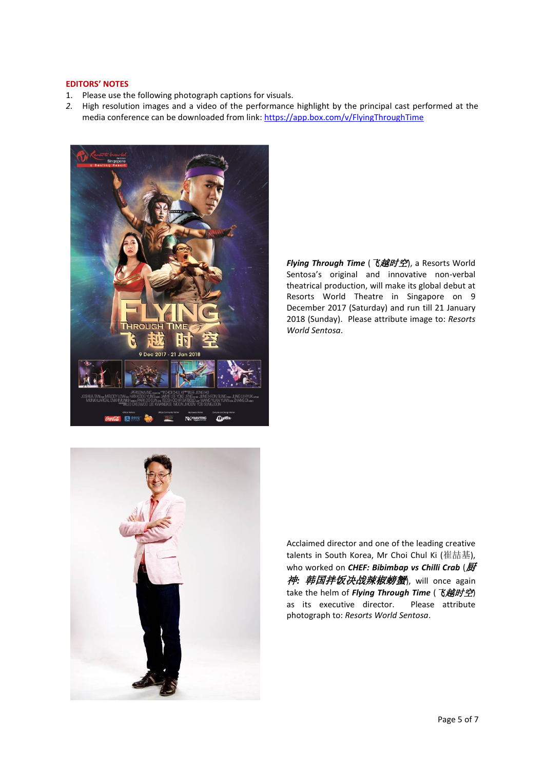#### **EDITORS' NOTES**

- 1. Please use the following photograph captions for visuals.
- *2.* High resolution images and a video of the performance highlight by the principal cast performed at the media conference can be downloaded from link: <https://app.box.com/v/FlyingThroughTime>



*Flying Through Time* (飞越时空), a Resorts World Sentosa's original and innovative non-verbal theatrical production, will make its global debut at Resorts World Theatre in Singapore on 9 December 2017 (Saturday) and run till 21 January 2018 (Sunday). Please attribute image to: *Resorts World Sentosa*.



Acclaimed director and one of the leading creative talents in South Korea, Mr Choi Chul Ki (崔喆基), who worked on **CHEF: Bibimbap vs Chilli Crab** (厨 神*:* 韩国拌饭决战辣椒螃蟹), will once again take the helm of *Flying Through Time* (飞越时空) as its executive director. Please attribute photograph to: *Resorts World Sentosa*.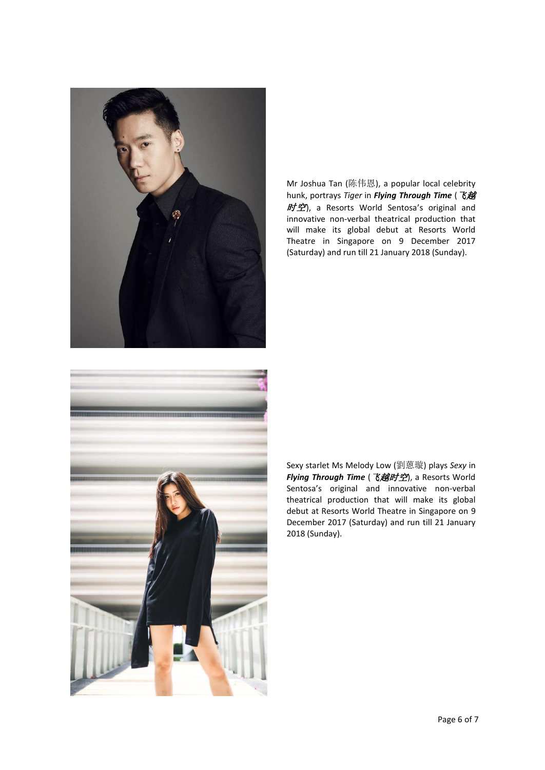

Mr Joshua Tan (陈伟恩), a popular local celebrity hunk, portrays *Tiger* in *Flying Through Time* (飞越 时空), a Resorts World Sentosa's original and innovative non-verbal theatrical production that will make its global debut at Resorts World Theatre in Singapore on 9 December 2017 (Saturday) and run till 21 January 2018 (Sunday).



Sexy starlet Ms Melody Low (劉蒽璇) plays *Sexy* in *Flying Through Time* (飞越时空), a Resorts World Sentosa's original and innovative non-verbal theatrical production that will make its global debut at Resorts World Theatre in Singapore on 9 December 2017 (Saturday) and run till 21 January 2018 (Sunday).